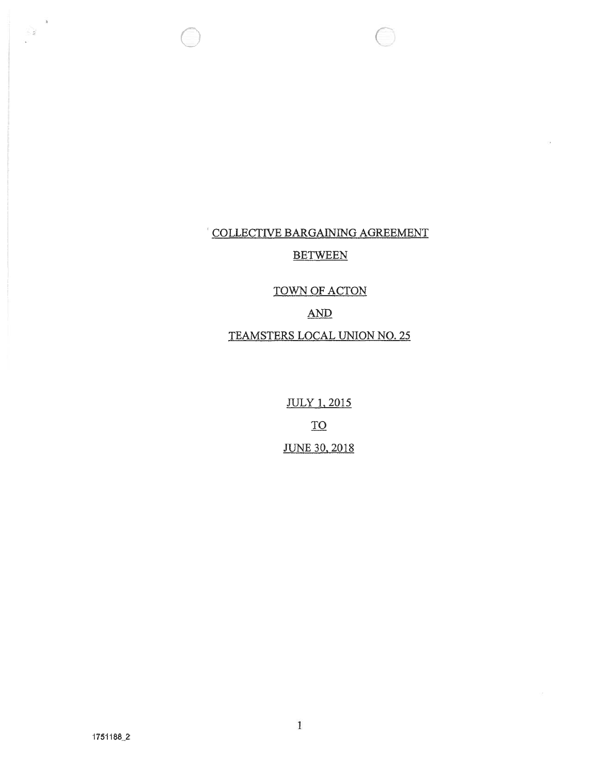# COLLECTIVE BARGAINING AGREEMENT DLLECTIVE BARGAINING AGREE!<br>BETWEEN<br>TOWN OF ACTON<br>AND<br>TEAMSTERS LOCAL UNION NO. <u>le</u><br>Ea E BARGAINING ACTES<br>BETWEEN<br>TOWN OF ACTON

 $\sqrt{2}$ 

n O

 $\mathbf{h}$  $\sum_{\mathbf{p}\in\mathbf{Q}}\mathbf{p}_{\mathbf{p}}$ 

# $\Delta N D$

<u>It</u><br>تار **JULY 1, 2015**  $\underline{\operatorname{TO}}$ **JUNE 30, 2018**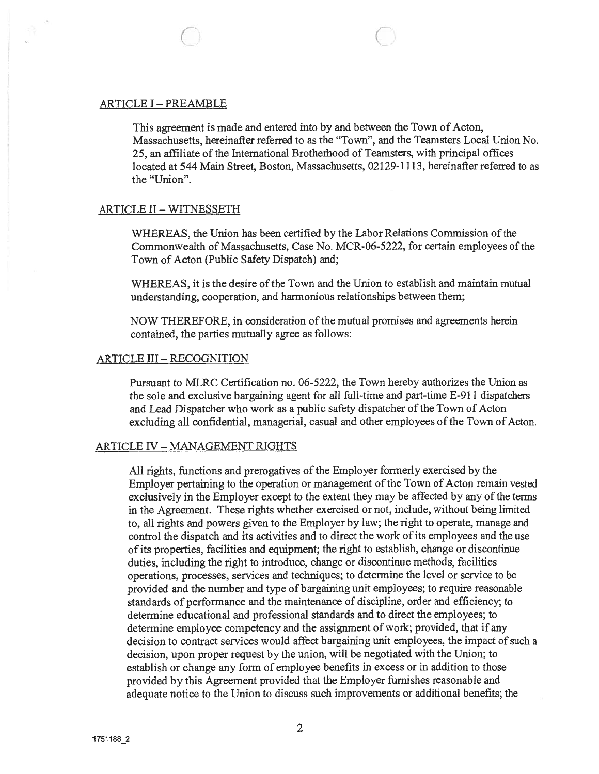#### ARTICLE I - PREAMBLE

C

This agreemen<sup>t</sup> is made and entered into by and between the Town of Acton, Massachusetts, hereinafter referred to as the "Town", and the Teamsters Local Union No. 25, an affiliate of the International Brotherhood of Teamsters, with principal offices located at 544 Main Street, Boston, Massachusetts, 02129-1113, hereinafter referred to as the "Union".

#### ARTICLE II- WITNESSETH

WHEREAS, the Union has been certified by the Labor Relations Commission of the Commonwealth of Massachusetts, Case No. MCR-06-5222, for certain employees of the Town of Acton (Public Safety Dispatch) and;

WHEREAS, it is the desire ofthe Town and the Union to establish and maintain mutual understanding, cooperation, and harmonious relationships between them;

NOW THEREFORE, in consideration of the mutual promises and agreements herein contained, the parties mutually agree as follows:

#### ARTICLE III -RECOGNITION

Pursuant to MLRC Certification no. 06-5222, the Town hereby authorizes the Union as the sole and exclusive bargaining agen<sup>t</sup> for all full-time and part-time E-91 1 dispatchers and Lead Dispatcher who work as a public safety dispatcher of the Town of Acton excluding all confidential, managerial, casual and other employees of the Town of Acton.

### ARTICLE IV - MANAGEMENT RIGHTS

All rights, functions and prerogatives of the Employer formerly exercised by the Employer pertaining to the operation or management of the Town of Acton remain vested exclusively in the Employer except to the extent they may be affected by any of the terms in the Agreement. These rights whether exercised or not, include, without being limited to, all rights and powers <sup>g</sup>iven to the Employer by law; the right to operate, manage and control the dispatch and its activities and to direct the work of its employees and the use ofits properties, facilities and equipment; the right to establish, change or discontinue duties, including the right to introduce, change or discontinue methods, facilities operations, processes, services and techniques; to determine the level or service to be provided and the number and type of bargaining unit employees; to require reasonable standards of performance and the maintenance of discipline, order and efficiency; to determine educational and professional standards and to direct the employees; to determine employee competency and the assignment of work; provided, that if any decision to contract services would affect bargaining unit employees, the impact of such a decision, upon proper reques<sup>t</sup> by the union, will be negotiated with the Union; to establish or change any form of employee benefits in excess or in addition to those provided by this Agreement provided that the Employer furnishes reasonable and adequate notice to the Union to discuss such improvements or additional benefits; the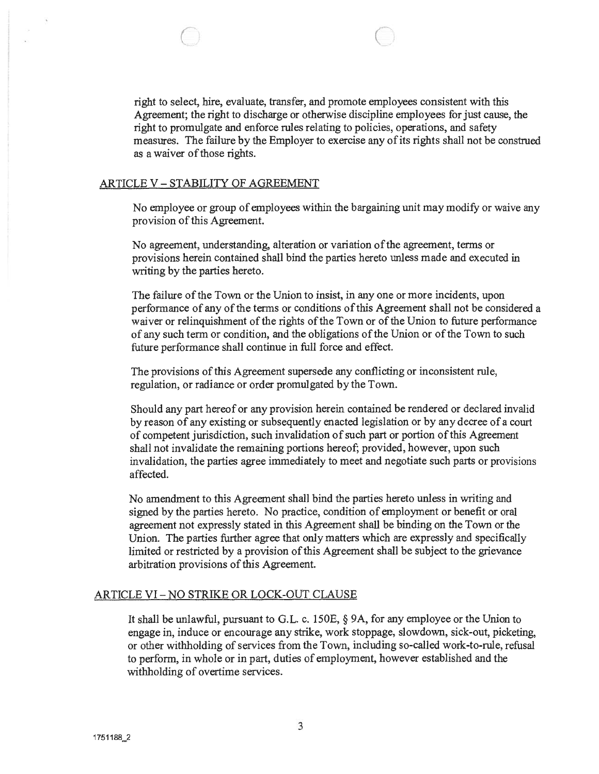right to select, hire, evaluate, transfer, and promote employees consistent with this Agreement; the right to discharge or otherwise discipline employees for just cause, the right to promulgate and enforce rules relating to policies, operations, and safety measures. The failure by the Employer to exercise any of its rights shall not be construed as a waiver of those rights.

#### ARTICLE V -STABILITY OF AGREEMENT

 $\bigcirc$ 

No employee or group of employees within the bargaining unit may modify or waive any provision of this Agreement.

No agreement, understanding, alteration or variation of the agreement, terms or provisions herein contained shall bind the parties hereto unless made and executed in writing by the parties hereto.

The failure of the Town or the Union to insist, in any one or more incidents, upon performance of any of the terms or conditions of this Agreement shall not be considered a waiver or relinquishment of the rights of the Town or of the Union to future performance of any such term or condition, and the obligations of the Union or of the Town to such future performance shall continue in full force and effect.

The provisions of this Agreement supersede any conflicting or inconsistent rule, regulation, or radiance or order promulgated by the Town.

Should any par<sup>t</sup> hereof or any provision herein contained be rendered or declared invalid by reason of any existing or subsequently enacted legislation or by any decree of <sup>a</sup> court of competent jurisdiction, such invalidation of such par<sup>t</sup> or portion of this Agreement shall not invalidate the remaining portions hereof; provided, however, upon such invalidation, the parties agree immediately to meet and negotiate such parts or provisions affected.

No amendment to this Agreement shall bind the parties hereto unless in writing and signed by the parties hereto. No practice, condition of employment or benefit or oral agreemen<sup>t</sup> not expressly stated in this Agreement shall be binding on the Town or the Union. The parties further agree that only matters which are expressly and specifically limited or restricted by a provision of this Agreement shall be subject to the grievance arbitration provisions of this Agreement.

# ARTICLE VI- NO STRIKE OR LOCK-OUT CLAUSE

It shall be unlawful, pursuan<sup>t</sup> to G.L. c. 150E, § 9A, for any employee or the Union to engage in, induce or encourage any strike, work stoppage, slowdown, sick-out, <sup>p</sup>icketing, or other withholding of services from the Town, including so-called work-to-rule, refusal to perform, in whole or in part, duties of employment, however established and the withholding of overtime services.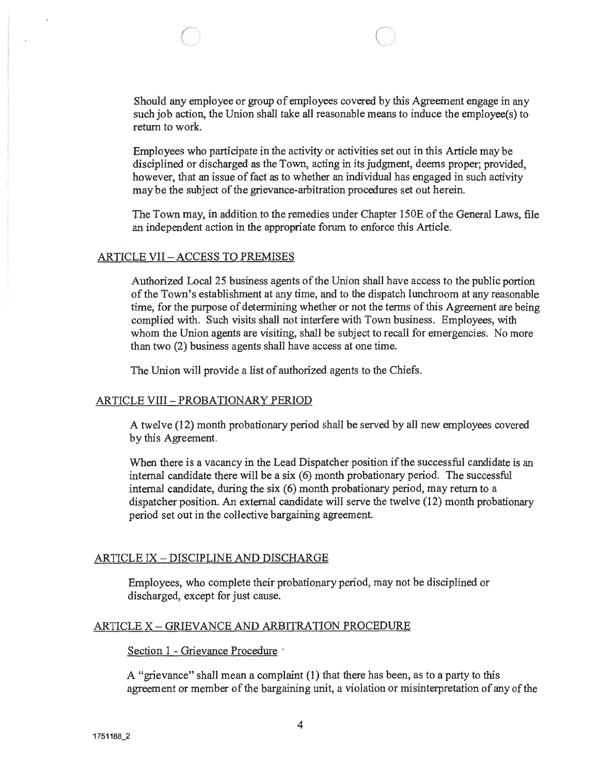Should any employee or group of employees covered by this Agreement engage in any such job action, the Union shall take all reasonable means to induce the employee(s) to return to work.

 $\bigcap$ 

Employees who participate in the activity or activities set out in this Article may be disciplined or discharged as the Town, acting in its judgment, deems proper; provided, however, that an issue of fact as to whether an individual has engaged in such activity may be the subject of the grievance-arbitration procedures set out herein.

The Town may, in addition to the remedies under Chapter 1 50E of the General Laws, file an independent action in the appropriate forum to enforce this Article.

#### ARTICLE VII — ACCESS TO PREMISES

Authorized Local 25 business agents of the Union shall have access to the public portion ofthe Town's establishment at any time, and to the dispatch lunchroom at any reasonable time, for the purpose of determining whether or not the terms of this Agreement are being complied with. Such visits shall not interfere with Town business. Employees, with whom the Union agents are visiting, shall be subject to recall for emergencies. No more than two (2) business agents shall have access at one time.

The Union will provide <sup>a</sup> list of authorized agents to the Chiefs.

#### ARTICLE VIII- PROBATIONARY PERIOD

A twelve (12) month probationary period shall be served by all new employees covered by this Agreement.

When there is a vacancy in the Lead Dispatcher position if the successful candidate is an internal candidate there will be <sup>a</sup> six (6) month probationary period. The successful internal candidate, during the six (6) month probationary period, may return to <sup>a</sup> dispatcher position. An external candidate will serve the twelve (12) month probationary period set out in the collective bargaining agreement.

#### ARTICLE IX -DISCIPLINE AND DISCHARGE

Employees, who complete their probationary period, may not be disciplined or discharged, excep<sup>t</sup> for just cause.

#### ARTICLE X - GRIEVANCE AND ARBITRATION PROCEDURE

#### Section 1 - Grievance Procedure

A "grievance" shall mean <sup>a</sup> complaint (1) that there has been, as to <sup>a</sup> party to this agreemen<sup>t</sup> or member of the bargaining unit, <sup>a</sup> violation or misinterpretation of any of the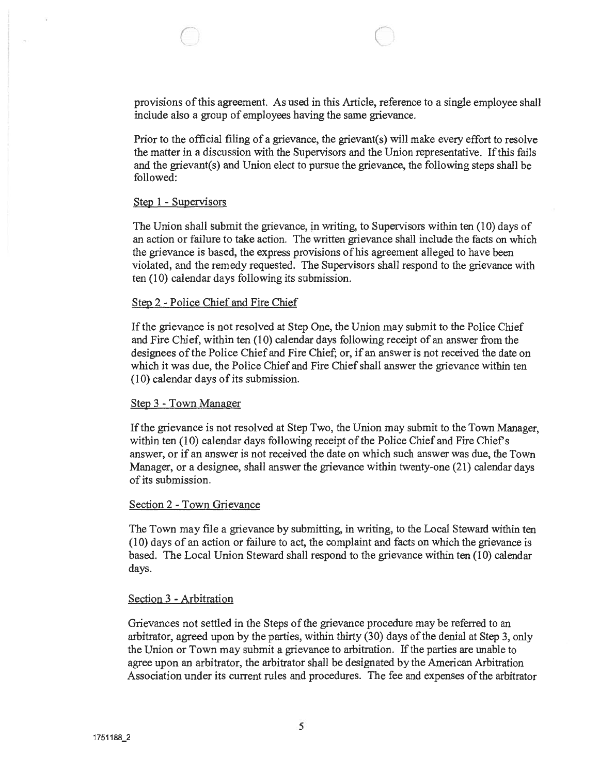Prior to the official filing of <sup>a</sup> grievance, the grievant(s) will make every effort to resolve the matter in <sup>a</sup> discussion with the Supervisors and the Union representative. Ifthis fails and the grievant(s) and Union elect to pursue the grievance, the following steps shall be followed:

# Step <sup>1</sup> - Supervisors

The Union shall submit the grievance, in writing, to Supervisors within ten (10) days of an action or failure to take action. The written grievance shall include the facts on which the grievance is based, the express provisions of his agreemen<sup>t</sup> alleged to have been violated, and the remedy requested. The Supervisors shall respond to the grievance with ten (10) calendar days following its submission.

# Step 2 - Police Chief and Fire Chief

If the grievance is not resolved at Step One, the Union may submit to the Police Chief and Fire Chief, within ten (10) calendar days following receipt of an answer from the designees of the Police Chief and Fire Chief; or, if an answer is not received the date on which it was due, the Police Chief and Fire Chief shall answer the grievance within ten (10) calendar days of its submission.

# Step 3 - Town Manager

If the grievance is not resolved at Step Two, the Union may submit to the Town Manager, within ten  $(10)$  calendar days following receipt of the Police Chief and Fire Chief's answer, or if an answer is not received the date on which such answer was due, the Town Manager, or <sup>a</sup> designee, shall answer the grievance within twenty-one (21) calendar days of its submission.

# Section 2 - Town Grievance

The Town may file <sup>a</sup> grievance by submitting, in writing, to the Local Steward within ten (10) days of an action or failure to act, the complaint and facts on which the grievance is based. The Local Union Steward shall respond to the grievance within ten (10) calendar days.

# Section 3 - Arbitration

Grievances not settled in the Steps of the grievance procedure may be referred to an arbitrator, agreed upon by the parties, within thirty (30) days ofthe denial at Step 3, only the Union or Town may submit <sup>a</sup> grievance to arbitration. If the parties are unable to agree upon an arbitrator, the arbitrator shall be designated by the American Arbitration Association under its current rules and procedures. The fee and expenses ofthe arbitrator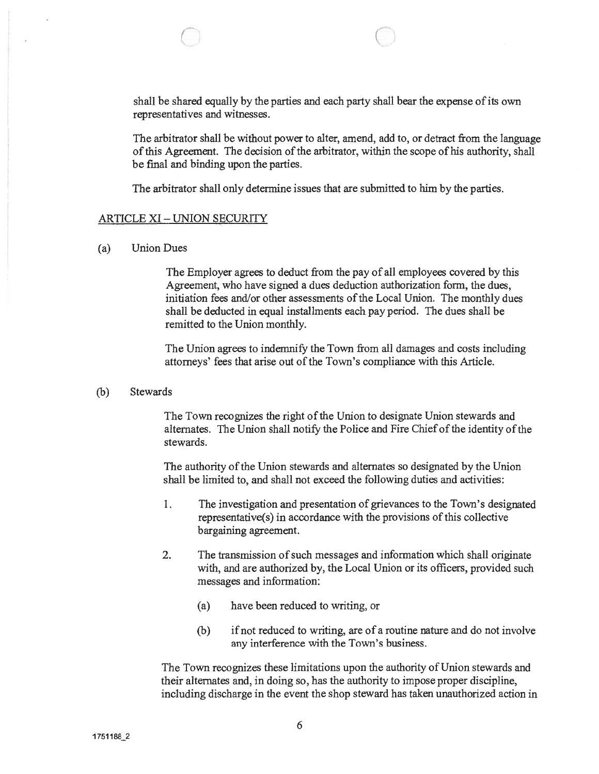shall be shared equally by the parties and each party shall bear the expense of its own representatives and witnesses.

The arbitrator shall be without power to alter, amend, add to, or detract from the language of this Agreement. The decision of the arbitrator, within the scope of his authority, shall be final and binding upon the parties.

The arbitrator shall only determine issues that are submitted to him by the parties.

#### ARTICLE XI- UNION SECURITY

C

(a) Union Dues

The Employer agrees to deduct from the pay of all employees covered by this Agreement, who have signed <sup>a</sup> dues deduction authorization form, the dues, initiation fees and/or other assessments of the Local Union. The monthly dues shall be deducted in equal installments each pay period. The dues shall be remitted to the Union monthly.

The Union agrees to indemnify the Town from all damages and costs including attorneys' fees that arise out of the Town's compliance with this Article.

(b) Stewards

The Town recognizes the right of the Union to designate Union stewards and alternates. The Union shall notify the Police and Fire Chief of the identity of the stewards.

The authority of the Union stewards and alternates so designated by the Union shall be limited to, and shall not exceed the following duties and activities:

- 1. The investigation and presentation of grievances to the Town's designated representative(s) in accordance with the provisions of this collective bargaining agreement.
- 2. The transmission of such messages and information which shall originate with, and are authorized by, the Local Union or its officers, provided such messages and information:
	- (a) have been reduced to writing, or
	- (b) if not reduced to writing, are of <sup>a</sup> routine nature and do not involve any interference with the Town's business.

The Town recognizes these limitations upon the authority of Union stewards and their alternates and, in doing so, has the authority to impose proper discipline, including discharge in the event the shop steward has taken unauthorized action in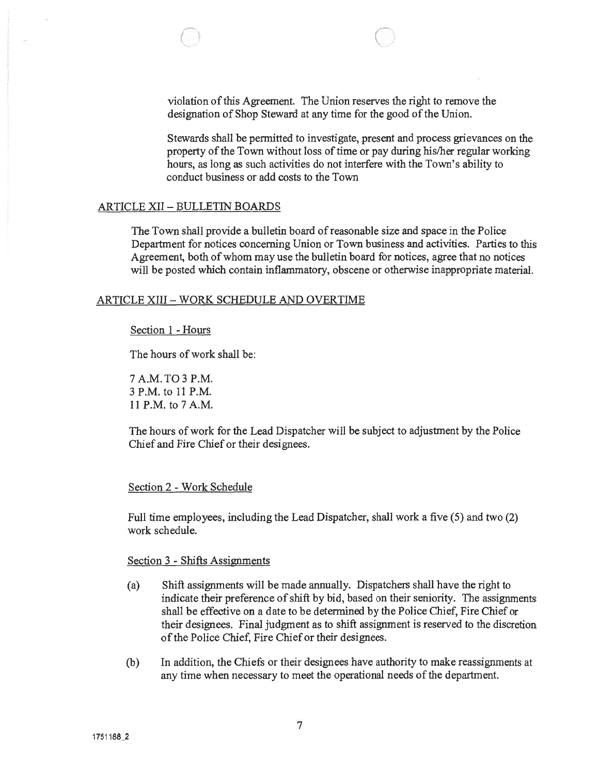0 0

Stewards shall be permitted to investigate, presen<sup>t</sup> and process grievances on the property of the Town without loss of time or pay during his/her regular working hours, as long as such activities do not interfere with the Town's ability to conduct business or add costs to the Town

#### ARTICLE XII -BULLETIN BOARDS

The Town shall provide <sup>a</sup> bulletin board ofreasonable size and space in the Police Department for notices concerning Union or Town business and activities. Parties to this Agreement, both of whom may use the bulletin board for notices, agree that no notices will be posted which contain inflammatory, obscene or otherwise inappropriate material.

#### ARTICLE XIII - WORK SCHEDULE AND OVERTIME

#### Section 1 - Hours

The hours of work shall be:

7 A.M. TO 3 P.M. 3 P.M. to 11 P.M. 11 P.M. to 7 A.M.

The hours of work for the Lead Dispatcher will be subject to adjustment by the Police Chief and Fire Chief or their designees.

# Section 2 - Work Schedule

Full time employees, including the Lead Dispatcher, shall work <sup>a</sup> five (5) and two (2) work schedule.

#### Section 3 - Shifts Assignments

- (a) Shift assignments will be made annually. Dispatchers shall have the right to indicate their preference of shift by bid, based on their seniority. The assignments shall be effective on <sup>a</sup> date to be determined by the Police Chief, Fire Chief or their designees. Final judgment as to shift assignment is reserved to the discretion of the Police Chief, Fire Chief or their designees.
- (b) In addition, the Chiefs or their designees have authority to make reassignments at any time when necessary to meet the operational needs of the department,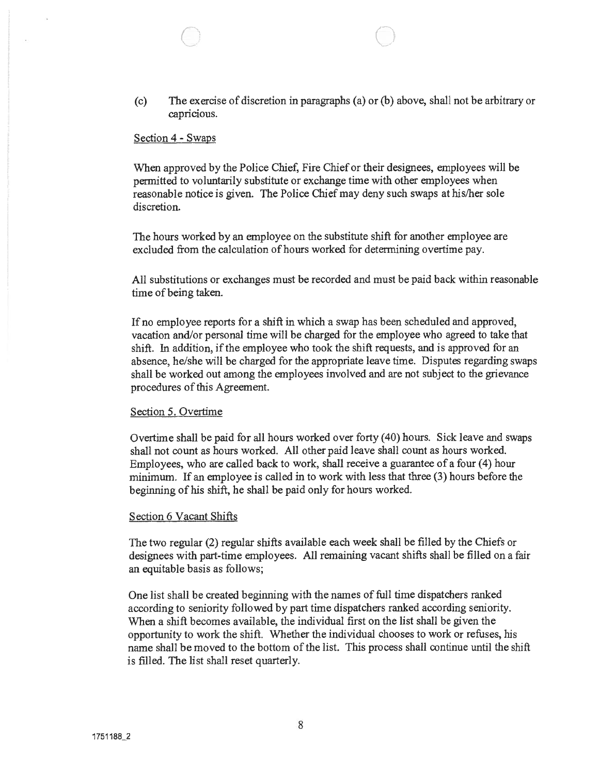(c) The exercise of discretion in paragraphs (a) or (b) above, shall not be arbitrary or capricious.

 $\bigcirc$  c) c) c) and c) and c) and c) and c) and c) and c) and c) and c) and c) and c) and c) and c) and c) and c) and c) and c) and c) and c) and c) and c) and c) and c) and c) and c) and c) and c) and c) and c) and c) and

### Section 4 - Swaps

When approved by the Police Chief, Fire Chief or their designees, employees will be permitted to voluntarily substitute or exchange time with other employees when reasonable notice is given. The Police Chief may deny such swaps at his/her sole discretion.

The hours worked by an employee on the substitute shift for another employee are excluded from the calculation of hours worked for determining overtime pay.

All substitutions or exchanges must be recorded and must be paid back within reasonable time of being taken.

If no employee reports for <sup>a</sup> shift in which <sup>a</sup> swap has been scheduled and approved, vacation and/or personal time will be charged for the employee who agreed to take that shift. In addition, if the employee who took the shift requests, and is approved for an absence, he/she will be charged for the appropriate leave time. Disputes regarding swaps shall be worked out among the employees involved and are not subject to the grievance procedures of this Agreement.

#### Section 5. Overtime

Overtime shall be paid for all hours worked over forty (40) hours. Sick leave and swaps shall not count as hours worked. All other paid leave shall count as hours worked. Employees, who are called back to work, shall receive <sup>a</sup> guarantee of <sup>a</sup> four (4) hour minimum. If an employee is called in to work with less that three (3) hours before the beginning of his shift, he shall be paid only for hours worked.

#### Section 6 Vacant Shifts

The two regular (2) regular shifts available each week shall be filled by the Chiefs or designees with part-time employees. All remaining vacant shifts shall be filled on <sup>a</sup> fair an equitable basis as follows;

One list shall be created beginning with the names of full time dispatchers ranked according to seniority followed by par<sup>t</sup> time dispatchers ranked according seniority. When <sup>a</sup> shift becomes available, the individual first on the list shall be given the opportunity to work the shift. Whether the individual chooses to work or refuses, his name shall be moved to the bottom of the list. This process shall continue until the shift is filled. The list shall reset quarterly.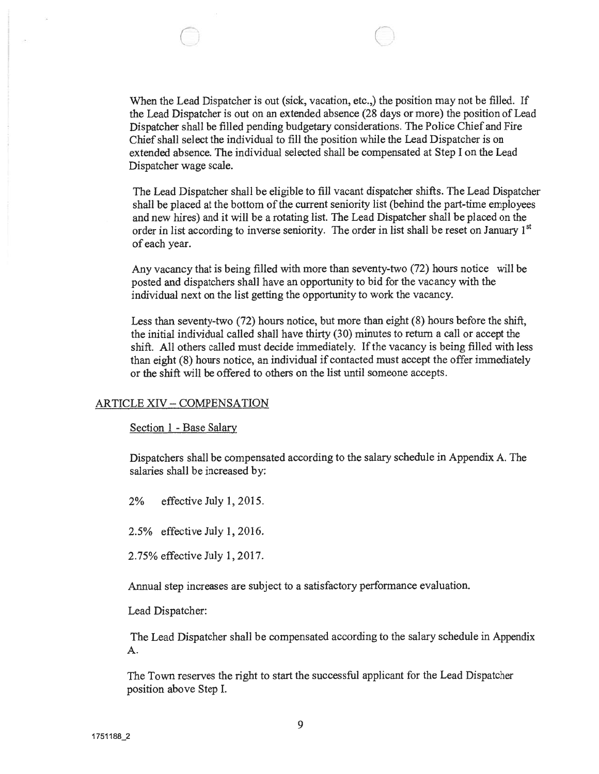When the Lead Dispatcher is out (sick, vacation, etc.,) the position may not be filled. If the Lead Dispatcher is out on an extended absence (28 days or more) the position of Lead Dispatcher shall be filled pending budgetary considerations. The Police Chief and Fire Chief shall select the individual to fill the position while the Lead Dispatcher is on extended absence. The individual selected shall be compensated at Step I on the Lead Dispatcher wage scale.

0 0

The Lead Dispatcher shall be eligible to fill vacant dispatcher shifts. The Lead Dispatcher shall be placed at the bottom of the current seniority list (behind the part-time employees and new hires) and it will be <sup>a</sup> rotating list. The Lead Dispatcher shall be placed on the order in list according to inverse seniority. The order in list shall be reset on January 1<sup>st</sup> of each year.

Any vacancy that is being filled with more than seventy-two (72) hours notice will be posted and dispatchers shall have an opportunity to bid for the vacancy with the individual next on the list getting the opportunity to work the vacancy.

Less than seventy-two (72) hours notice, but more than eight (8) hours before the shift, the initial individual called shall have thirty (30) minutes to return <sup>a</sup> call or accep<sup>t</sup> the shift. All others called must decide immediately. If the vacancy is being filled with less than eight (8) hours notice, an individual if contacted must accep<sup>t</sup> the offer immediately or the shift will be offered to others on the list until someone accepts.

#### ARTICLE XIV - COMPENSATION

Section 1 - Base Salary

Dispatchers shall be compensated according to the salary schedule in Appendix A. The salaries shall be increased by:

2% effective July 1,2015.

2.5% effective July 1,2016.

2.75% effective July 1,2017.

Annual step increases are subject to <sup>a</sup> satisfactory performance evaluation.

Lead Dispatcher:

The Lead Dispatcher shall be compensated according to the salary schedule in Appendix A.

The Town reserves the right to start the successful applicant for the Lead Dispatcher position above Step I.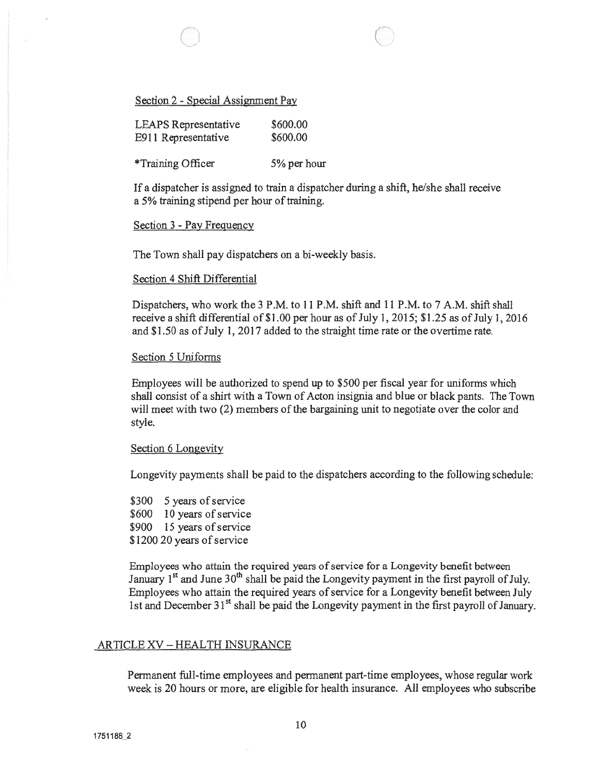# Section 2 - Special Assignment Pay

| <b>LEAPS</b> Representative | \$600.00 |
|-----------------------------|----------|
| E911 Representative         | \$600.00 |

\*Training Officer 5% per hour

If <sup>a</sup> dispatcher is assigned to train <sup>a</sup> dispatcher during <sup>a</sup> shift, he/she shall receive a 5% training stipend per hour of training.

 $\bigcirc$  flatter  $\bigcirc$ 

### Section 3 - Pay Frequency

The Town shall pay dispatchers on a bi-weekly basis.

#### Section 4 Shift Differential

Dispatchers, who work the 3 P.M. to 11 P.M. shift and 11 P.M. to 7 A.M. shift shall receive a shift differential of  $$1.00$  per hour as of July 1, 2015;  $$1.25$  as of July 1, 2016 and \$1.50 as of July 1, 2017 added to the straight time rate or the overtime rate.

#### Section 5 Uniforms

Employees will be authorized to spend up to \$500 per fiscal year for uniforms which shall consist of <sup>a</sup> shirt with <sup>a</sup> Town of Acton insignia and blue or black pants. The Town will meet with two (2) members of the bargaining unit to negotiate over the color and style.

#### Section 6 Longevity

Longevity payments shall be paid to the dispatchers according to the following schedule:

\$300 5 years of service \$600 10 years of service \$900 15 years of service \$1200 20 years of service

Employees who attain the required years of service for a Longevity benefit between January  $1<sup>st</sup>$  and June  $30<sup>th</sup>$  shall be paid the Longevity payment in the first payroll of July. Employees who attain the required years of service for a Longevity benefit between July 1st and December  $31<sup>st</sup>$  shall be paid the Longevity payment in the first payroll of January.

#### ARTICLE XV - HEALTH INSURANCE

Permanent full-time employees and permanen<sup>t</sup> part-time employees, whose regular work week is 20 hours or more, are eligible for health insurance. All employees who subscribe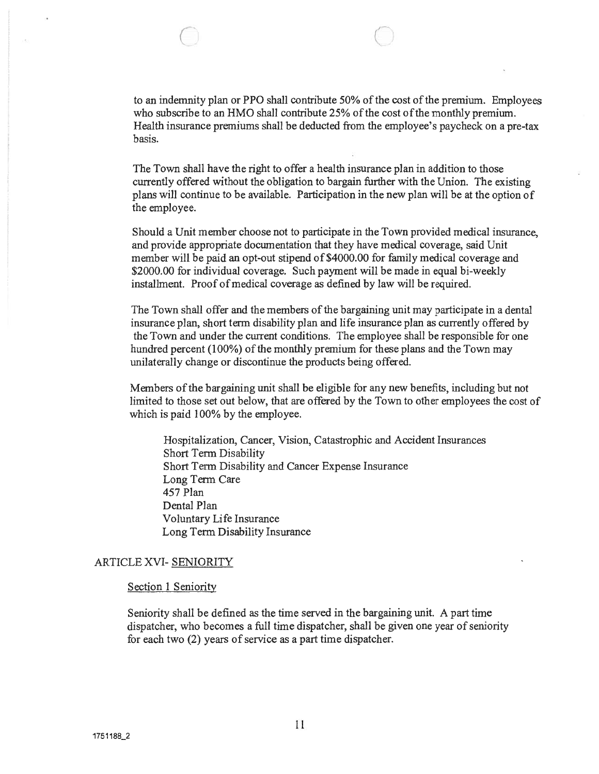$\circ$  0

to an indemnity plan or PPO shall contribute 50% ofthe cost ofthe premium. Employees who subscribe to an HMO shall contribute 25% of the cost of the monthly premium. Health insurance premiums shall be deducted from the employee's paycheck on <sup>a</sup> pre-tax basis.

The Town shall have the right to offer <sup>a</sup> health insurance plan in addition to those currently offered without the obligation to bargain further with the Union. The existing plans will continue to be available. Participation in the new plan will be at the option of the employee.

Should <sup>a</sup> Unit member choose not to participate in the Town provided medical insurance, and provide appropriate documentation that they have medical coverage, said Unit member will be paid an opt-out stipend of \$4000.00 for family medical coverage and \$2000.00 for individual coverage. Such payment will be made in equal bi-weekly installment. Proof of medical coverage as defined by law will be required.

The Town shall offer and the members of the bargaining unit may participate in <sup>a</sup> dental insurance plan, short term disability plan and life insurance plan as currently offered by the Town and under the current conditions. The employee shall be responsible for one hundred percent (100%) of the monthly premium for these plans and the Town may unilaterally change or discontinue the products being offered.

Members of the bargaining unit shall be eligible for any new benefits, including but not limited to those set out below, that are offered by the Town to other employees the cost of which is paid 100% by the employee.

Hospitalization, Cancer, Vision, Catastrophic and Accident Insurances Short Term Disability Short Term Disability and Cancer Expense Insurance Long Term Care 457 Plan Dental Plan Voluntary Life Insurance Long Term Disability Insurance

# ARTICLE XVI- SENIORITY

# Section 1 Seniority

Seniority shall be defined as the time served in the bargaining unit. A par<sup>t</sup> time dispatcher, who becomes a full time dispatcher, shall be given one year of seniority for each two (2) years of service as <sup>a</sup> par<sup>t</sup> time dispatcher.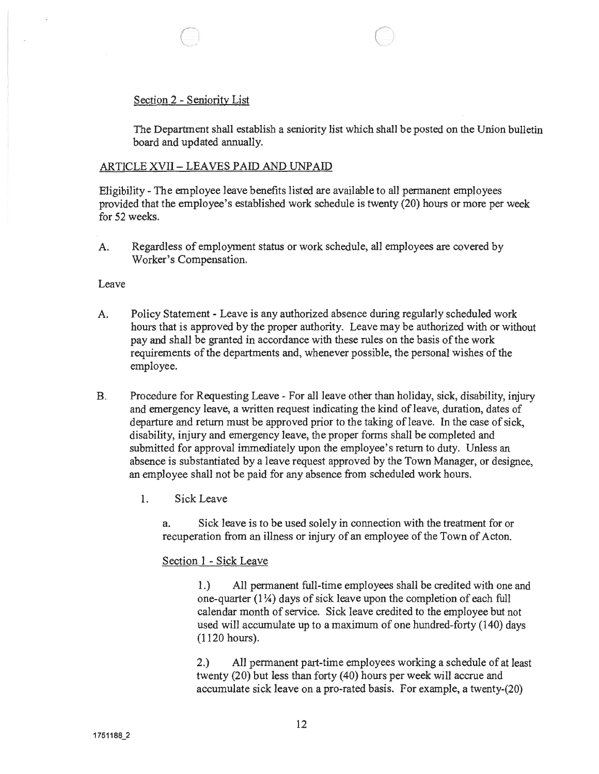Section 2 - Seniority List

The Department shall establish <sup>a</sup> seniority list which shall be posted on the Union bulletin board and updated annually.

# ARTICLE XVII- LEAVES PAID AND UNPAID

Eligibility - The employee leave benefits listed are available to all permanen<sup>t</sup> employees provided that the employee's established work schedule is twenty (20) hours or more per week for 52 weeks.

A. Regardless of employment status or work schedule, all employees are covered by Worker's Compensation.

0 0

Leave

- A. Policy Statement Leave is any authorized absence during regularly scheduled work hours that is approved by the proper authority. Leave may be authorized with or without pay and shall be granted in accordance with these rules on the basis of the work requirements of the departments and, whenever possible, the personal wishes of the employee.
- B. Procedure for Requesting Leave For all leave other than holiday, sick, disability, injury and emergency leave, <sup>a</sup> written reques<sup>t</sup> indicating the kind of leave, duration, dates of departure and return must be approved prior to the taking of leave. In the case of sick, disability, injury and emergency leave, the proper forms shall be completed and submitted for approval immediately upon the employee's return to duty. Unless an absence is substantiated by <sup>a</sup> leave reques<sup>t</sup> approved by the Town Manager, or designee, an employee shall not be paid for any absence from scheduled work hours.
	- 1. Sick Leave

a. Sick leave is to be used solely in connection with the treatment for or recuperation from an illness or injury of an employee of the Town of Acton.

# Section 1 - Sick Leave

1.) All permanen<sup>t</sup> full-time employees shall be credited with one and one-quarter  $(1\frac{1}{4})$  days of sick leave upon the completion of each full calendar month of service. Sick leave credited to the employee but not used will accumulate up to <sup>a</sup> maximum of one hundred-forty (140) days (1120 hours).

2.) All permanen<sup>t</sup> part-time employees working <sup>a</sup> schedule of at least twenty (20) but less than forty (40) hours per week will accrue and accumulate sick leave on <sup>a</sup> pro-rated basis. For example, <sup>a</sup> twenty-(20)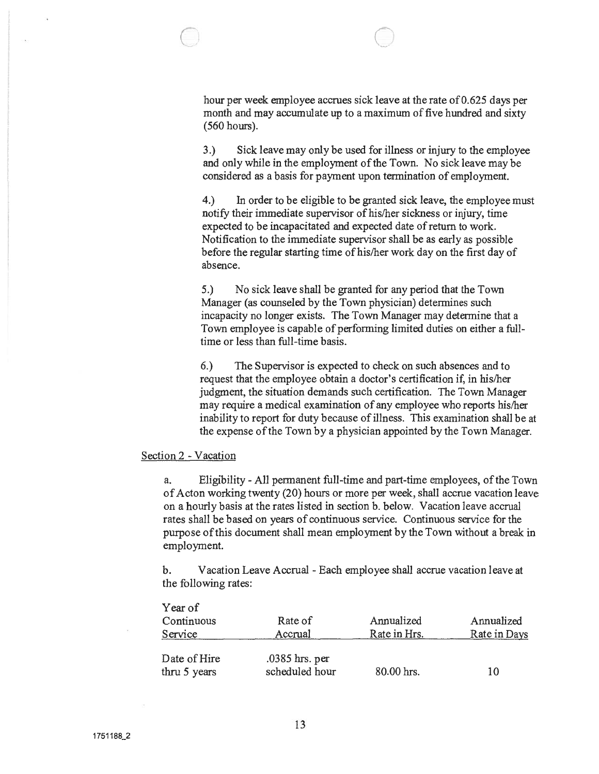hour per week employee accrues sick leave at the rate of 0.625 days per month and may accumulate up to <sup>a</sup> maximum of five hundred and sixty (560 hours).

0 0

3.) Sick leave may only be used for illness or injury to the employee and only while in the employment of the Town. No sick leave may be considered as <sup>a</sup> basis for paymen<sup>t</sup> upon termination of employment.

4.) In order to be eligible to be granted sick leave, the employee must notify their immediate supervisor of his/her sickness or injury, time expected to be incapacitated and expected date of return to work. Notification to the immediate supervisor shall be as early as possible before the regular starting time of his/her work day on the first day of absence.

5.) No sick leave shall be granted for any period that the Town Manager (as counseled by the Town physician) determines such incapacity no longer exists. The Town Manager may determine that <sup>a</sup> Town employee is capable of performing limited duties on either <sup>a</sup> fulltime or less than full-time basis.

6.) The Supervisor is expected to check on such absences and to reques<sup>t</sup> that the employee obtain <sup>a</sup> doctor's certification if, in his/her judgment, the situation demands such certification. The Town Manager may require <sup>a</sup> medical examination of any employee who reports his/her inability to repor<sup>t</sup> for duty because of illness. This examination shall be at the expense of the Town by a physician appointed by the Town Manager.

#### Section 2 -Vacation

a. Eligibility -All permanen<sup>t</sup> full-time and part-time employees, ofthe Town ofActon working twenty (20) hours or more per week, shall accrue vacation leave on <sup>a</sup> hourly basis at the rates listed in section b. below. Vacation leave accrual rates shall be based on years of continuous service. Continuous service for the purpose ofthis document shall mean employment by the Town without <sup>a</sup> break in employment.

b. Vacation Leave Accrual -Each employee shall accrue vacation leave at the following rates: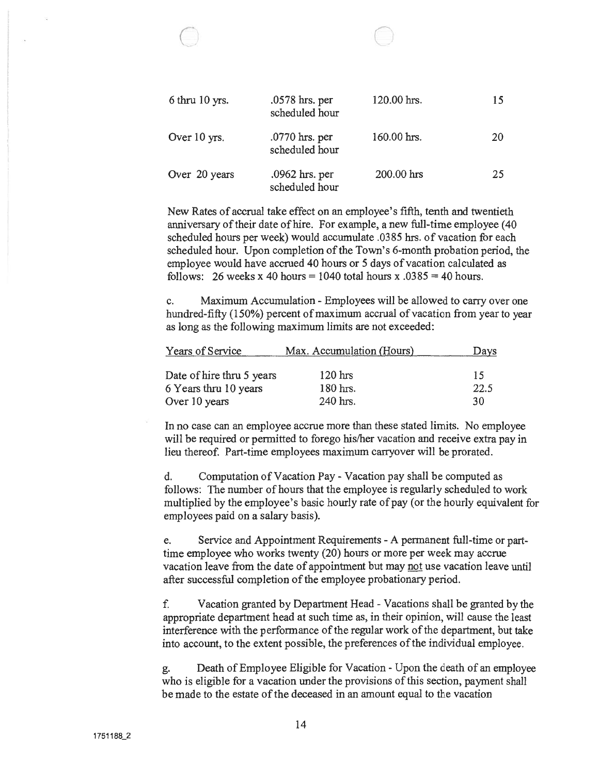| 6 thru 10 yrs. | .0578 hrs. per<br>scheduled hour   | 120.00 hrs. | 15 |
|----------------|------------------------------------|-------------|----|
| Over 10 yrs.   | $.0770$ hrs. per<br>scheduled hour | 160.00 hrs. | 20 |
| Over 20 years  | $.0962$ hrs. per<br>scheduled hour | 200.00 hrs  | 25 |

 $\subset$ 

New Rates of accrual take effect on an employee's fifth, tenth and twentieth anniversary of their date of hire. For example, a new full-time employee (40) scheduled hours per week) would accumulate .03 85 hrs. of vacation for each scheduled hour. Upon completion of the Town's 6-month probation period, the employee would have accrued 40 hours or 5 days of vacation calculated as follows: 26 weeks x 40 hours = 1040 total hours x  $.0385 = 40$  hours.

c. Maximum Accumulation -Employees will be allowed to carry over one hundred-fifty (150%) percent of maximum accrual of vacation from year to year as long as the following maximum limits are not exceeded:

| Years of Service          | Max. Accumulation (Hours) | Days |
|---------------------------|---------------------------|------|
|                           |                           |      |
| Date of hire thru 5 years | $120$ hrs                 | 15   |
| 6 Years thru 10 years     | $180$ hrs.                | 22.5 |
| Over 10 years             | 240 hrs.                  | 30   |

In no case can an employee accrue more than these stated limits. No employee will be required or permitted to forego his/her vacation and receive extra pay in lieu thereof. Part-time employees maximum carryover will be prorated.

d. Computation of Vacation Pay -Vacation pay shall be computed as follows: The number of hours that the employee is regularly scheduled to work multiplied by the employee's basic hourly rate of pay (or the hourly equivalent for employees paid on <sup>a</sup> salary basis).

e. Service and Appointment Requirements -A permanen<sup>t</sup> full-time or parttime employee who works twenty (20) hours or more per week may accrue vacation leave from the date of appointment but may not use vacation leave until after successful completion of the employee probationary period.

f. Vacation granted by Department Head -Vacations shall be granted by the appropriate department head at such time as, in their opinion, will cause the least interference with the performance of the regular work of the department, but take into account, to the extent possible, the preferences of the individual employee.

g. Death of Employee Eligible for Vacation - Upon the death of an employee who is eligible for <sup>a</sup> vacation under the provisions of this section, paymen<sup>t</sup> shall be made to the estate of the deceased in an amount equal to the vacation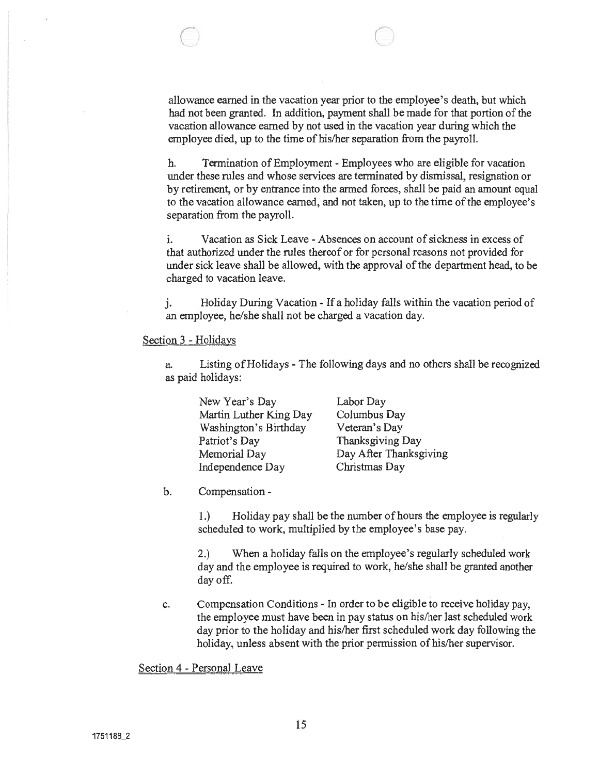allowance earned in the vacation year prior to the employee's death, but which had not been granted. In addition, payment shall be made for that portion of the vacation allowance earned by not used in the vacation year during which the employee died, up to the time of his/her separation from the payroll.

 $\circ$  0

h. Termination of Employment - Employees who are eligible for vacation under these rules and whose services are terminated by dismissal, resignation or by retirement, or by entrance into the armed forces, shall be paid an amount equal to the vacation allowance earned, and not taken, up to the time of the employee's separation from the payroll.

i. Vacation as Sick Leave -Absences on account of sickness in excess of that authorized under the rules thereof or for personal reasons not provided for under sick leave shall be allowed, with the approval of the department head, to be charged to vacation leave.

j. Holiday During Vacation - If <sup>a</sup> holiday falls within the vacation period of an employee, he/she shall not be charged <sup>a</sup> vacation day.

#### Section 3 - Holidays

a. Listing ofHolidays -The following days and no others shall be recognized as paid holidays:

| New Year's Day         | Labor Day              |
|------------------------|------------------------|
| Martin Luther King Day | Columbus Day           |
| Washington's Birthday  | Veteran's Day          |
| Patriot's Day          | Thanksgiving Day       |
| Memorial Day           | Day After Thanksgiving |
| Independence Day       | Christmas Day          |

b. Compensation -

1.) Holiday pay shall be the number of hours the employee is regularly scheduled to work, multiplied by the employee's base pay.

2.) When <sup>a</sup> holiday falls on the employee's regularly scheduled work day and the employee is required to work, he/she shall be granted another day off.

c. Compensation Conditions - In order to be eligible to receive holiday pay, the employee must have been in pay status on his/her last scheduled work day prior to the holiday and his/her first scheduled work day following the holiday, unless absent with the prior permission of his/her supervisor.

Section 4 - Personal Leave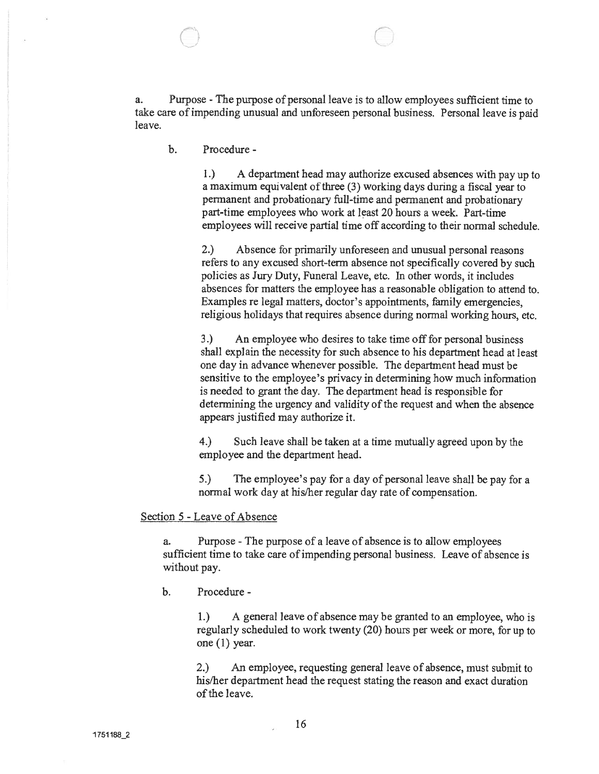a. Purpose -The purpose of personal leave is to allow employees sufficient time to take care of impending unusual and unforeseen personal business. Personal leave is paid leave.

 $\Theta$  not not not  $\Theta$ 

b. Procedure

1.) <sup>A</sup> department head may authorize excused absences with pay up to a maximum equivalent of three (3) working days during a fiscal year to permanen<sup>t</sup> and probationary full-time and permanen<sup>t</sup> and probationary part-time employees who work at least 20 hours <sup>a</sup> week. Part-time employees will receive partial time off according to their normal schedule.

2.) Absence for primarily unforeseen and unusual personal reasons refers to any excused short-term absence not specifically covered by such policies as Jury Duty, Funeral Leave, etc. In other words, it includes absences for matters the employee has <sup>a</sup> reasonable obligation to attend to. Examples re legal matters, doctor's appointments, family emergencies, religious holidays that requires absence during normal working hours, etc.

3.) An employee who desires to take time off for personal business shall explain the necessity for such absence to his department head at least one day in advance whenever possible. The department head must be sensitive to the employee's privacy in determining how much infonnation is needed to gran<sup>t</sup> the day. The department head is responsible for determining the urgency and validity of the reques<sup>t</sup> and when the absence appears justified may authorize it.

4.) Such leave shall be taken at <sup>a</sup> time mutually agreed upon by the employee and the department head.

5.) The employee's pay for <sup>a</sup> day of persona<sup>l</sup> leave shall be pay for <sup>a</sup> normal work day at his/her regular day rate of compensation.

# Section 5 - Leave of Absence

a. Purpose -The purpose of <sup>a</sup> leave of absence is to allow employees sufficient time to take care of impending personal business. Leave of absence is without pay.

b. Procedure -

I.) A general leave of absence may be granted to an employee, who is regularly scheduled to work twenty (20) hours per week or more, for up to one (1) year.

2.) An employee, requesting general leave of absence, must submit to his/her department head the reques<sup>t</sup> stating the reason and exact duration of the leave.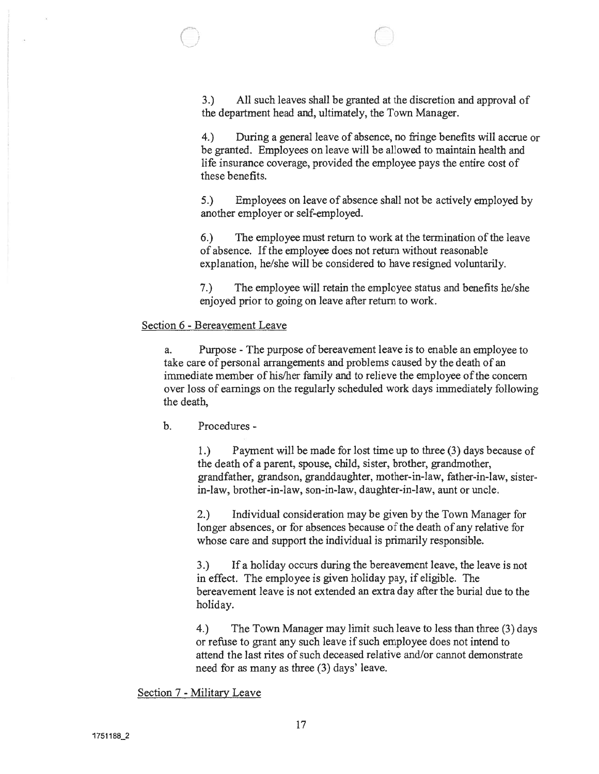$\Theta$  control  $\Theta$ 

4.) During <sup>a</sup> general leave of absence, no fringe benefits will accrue or be granted. Employees on leave will be allowed to maintain health and life insurance coverage, provided the employee pays the entire cost of these benefits.

5.) Employees on leave of absence shall not be actively employed by another employer or self-employed.

6.) The employee must return to work at the termination of the leave of absence. Ifthe employee does not return without reasonable explanation, he/she will be considered to have resigned voluntarily.

7.) The employee will retain the employee status and benefits he/she enjoyed prior to going on leave after return to work.

# Section 6 - Bereavement Leave

a. Purpose -The purpose of bereavement leave is to enable an employee to take care of personal arrangements and problems caused by the death of an immediate member of his/her family and to relieve the employee of the concern over loss of earnings on the regularly scheduled work days immediately following the death,

b. Procedures -

I.) Payment will be made for lost time up to three (3) days because of the death of <sup>a</sup> parent, spouse, child, sister, brother, grandmother, grandfather, grandson, granddaughter, mother-in-law, father-in-law, sisterin-law, brother-in-law, son-in-law, daughter-in-law, aunt or uncle.

2.) Individual consideration may be given by the Town Manager for longer absences, or for absences because of the death of any relative for whose care and suppor<sup>t</sup> the individual is primarily responsible.

3.) If <sup>a</sup> holiday occurs during the bereavement leave, the leave is not in effect. The employee is given holiday pay, if eligible. The bereavement leave is not extended an extra day after the burial due to the holiday.

4.) The Town Manager may limit such leave to less than three (3) days or refuse to gran<sup>t</sup> any such leave if such employee does not intend to attend the last rites of such deceased relative and/or cannot demonstrate need for as many as three (3) days' leave.

Section <sup>7</sup> - Military Leave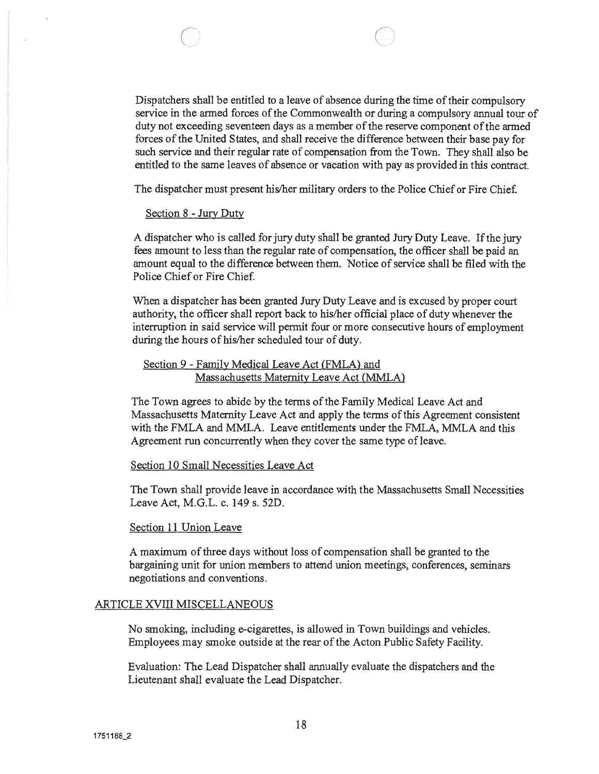Dispatchers shall be entitled to a leave of absence during the time of their compulsory service in the armed forces of the Commonwealth or during a compulsory annual tour of duty not exceeding seventeen days as a member of the reserve component of the armed forces of the United States, and shall receive the difference between their base pay for such service and their regular rate of compensation from the Town. They shall also be entitled to the same leaves of absence or vacation with pay as provided in this contract.

 $\qquad \qquad \circ$ 

The dispatcher must presen<sup>t</sup> his/her military orders to the Police Chief or Fire Chief.

#### Section 8 - Jury Duty

<sup>A</sup> dispatcher who is called forjury duty shall be granted Jury Duty Leave. Ifthe jury fees amount to less than the regular rate of compensation, the officer shall be paid an amount equal to the difference between them. Notice of service shall be filed with the Police Chief or Fire Chief.

When <sup>a</sup> dispatcher has been granted Jury Duty Leave and is excused by proper court authority, the officer shall repor<sup>t</sup> back to his/her official place of duty whenever the interruption in said service will permit four or more consecutive hours of employment during the hours of his/her scheduled tour of duty.

# Section 9 - Family Medical Leave Act (FMLA) and Massachusetts Maternity Leave Act (MMLA)

The Town agrees to abide by the terms of the Family Medical Leave Act and Massachusetts Maternity Leave Act and apply the terms ofthis Agreement consistent with the FMLA and MMLA. Leave entitlements under the FMLA, MMLA and this Agreement run concurrently when they cover the same type of leave.

#### Section 10 Small Necessities Leave Act

The Town shall provide leave in accordance with the Massachusetts Small Necessities Leave Act, M.G.L. c. 149 s. 52D.

#### Section 11 Union Leave

A maximum of three days without loss of compensation shall be granted to the bargaining unit for union members to attend union meetings, conferences, seminars negotiations and conventions.

#### ARTICLE XVIII MISCELLANEOUS

No smoking, including e-cigarettes, is allowed in Town buildings and vehicles. Employees may smoke outside at the rear of the Acton Public Safety Facility.

Evaluation: The Lead Dispatcher shall annually evaluate the dispatchers and the Lieutenant shall evaluate the Lead Dispatcher.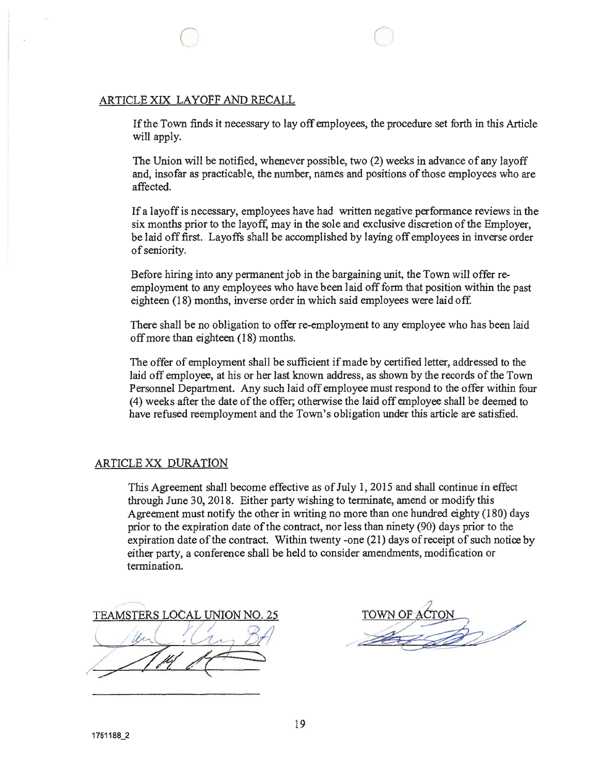### ARTICLE X1X LAYOFF AND RECALL

If the Town finds it necessary to lay off employees, the procedure set forth in this Article will apply.

 $\circ$   $\circ$ 

The Union will be notified, whenever possible, two (2) weeks in advance of any layoff and, insofar as practicable, the number, names and positions of those employees who are affected.

If <sup>a</sup> layoffis necessary, employees have had written negative performance reviews in the six months prior to the layoff, may in the sole and exclusive discretion of the Employer, be laid offfirst. Layoffs shall be accomplished by laying off employees in inverse order of seniority.

Before hiring into any permanen<sup>t</sup> job in the bargaining unit, the Town will offer re employment to any employees who have been laid off form that position within the pas<sup>t</sup> eighteen (18) months, inverse order in which said employees were laid off.

There shall be no obligation to offer re-employment to any employee who has been laid offmore than eighteen (18) months.

The offer of employment shall be sufficient if made by certified letter, addressed to the laid off employee, at his or her last known address, as shown by the records of the Town Personnel Department. Any such laid off employee must respond to the offer within four (4) weeks after the date ofthe offer; otherwise the laid off employee shall be deemed to have refused reemployment and the Town's obligation under this article are satisfied.

# ARTICLE XX DURATION

This Agreement shall become effective as of July 1, 2015 and shall continue in effect through June 30, 2018. Either party wishing to terminate, amend or modify this Agreement must notify the other in writing no more than one hundred eighty (180) days prior to the expiration date of the contract, nor less than ninety (90) days prior to the expiration date of the contract. Within twenty -one  $(21)$  days of receipt of such notice by either party, <sup>a</sup> conference shall be held to consider amendments, modification or termination.

TEAMSTERS LOCAL UNION NO. 25 16m . (12 BH  $\sqrt{114}$ 

/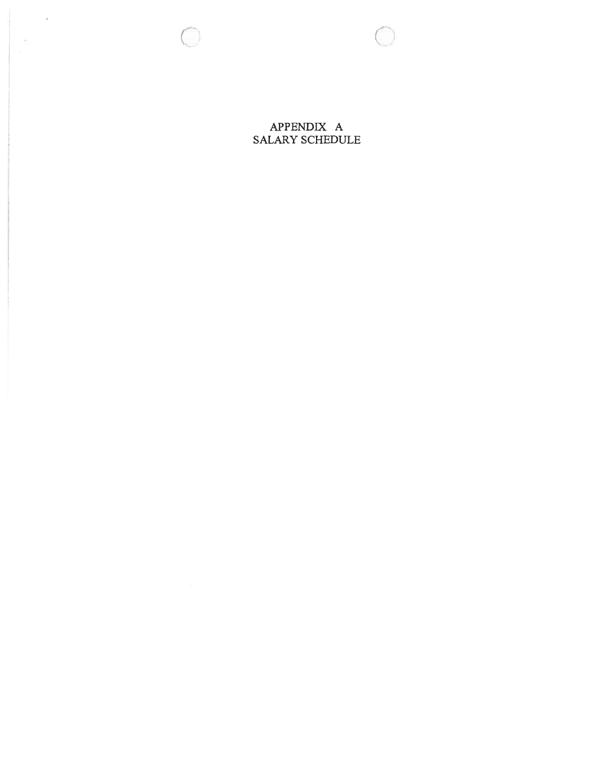$\sim 10$ 

SALARY SCHEDULE APPENDIX A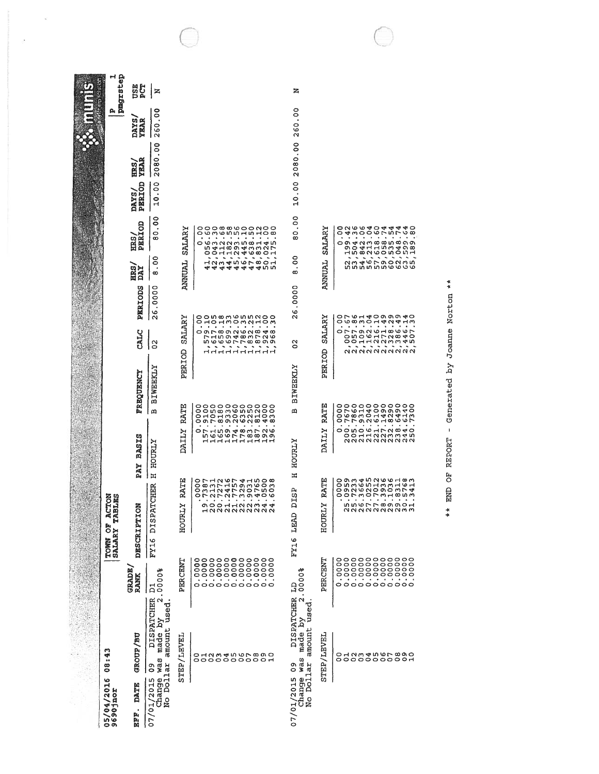| P<br>pmgrstep<br>ler erb solution<br><b>NSE</b><br>260.00<br>0<br>ö<br>DAYS,<br>$\bullet$<br><b>YEAR</b><br>260<br>2080.00<br>°<br>$\cdot$<br>2080<br><b>YEAR</b><br>EDR.S.<br>10.00<br>PERIOD<br>$\frac{8}{1}$<br>DAYS/<br>$\circ$<br>Н                                                                                                                                                                                                         | 40        |
|--------------------------------------------------------------------------------------------------------------------------------------------------------------------------------------------------------------------------------------------------------------------------------------------------------------------------------------------------------------------------------------------------------------------------------------------------|-----------|
|                                                                                                                                                                                                                                                                                                                                                                                                                                                  |           |
|                                                                                                                                                                                                                                                                                                                                                                                                                                                  |           |
|                                                                                                                                                                                                                                                                                                                                                                                                                                                  |           |
| $\overline{0}$<br>S<br>PERIOD<br>OOO®®७००NOO<br>O©n©nnnнnd®<br>0<br>$\bullet$<br>SALARY<br>SALARY<br><b>OOONNNO</b><br>80<br>$\circ$<br>0<br>$\bullet$<br>ERS,<br>$\infty$<br>$\bullet$<br>$\bullet$<br>$\bullet$<br>$\bullet$<br>$\sim$ $-$<br>$\ddot{\phantom{a}}$                                                                                                                                                                             |           |
| $\frac{8}{1}$<br>S<br><b>ANNUAL</b><br>ANNUAL<br>٠<br>HR3<br>DAY<br>∞<br>ထ                                                                                                                                                                                                                                                                                                                                                                       |           |
| .0000<br>PERIODS<br>26.0000<br>$\frac{6}{2}$<br>onwwwmwoo<br>0<br>O                                                                                                                                                                                                                                                                                                                                                                              |           |
| SALARY<br><b><i>SALARY</i></b><br><u>HoʻHnomaHov</u><br>CALC<br>$\tilde{c}$<br>$\frac{2}{3}$                                                                                                                                                                                                                                                                                                                                                     |           |
| PERIOD<br>PERIOD<br><b>BIWEEKLY</b><br><b>BIWEEKLY</b><br>FREQUENCY                                                                                                                                                                                                                                                                                                                                                                              |           |
| RATE<br>RATE<br>$\frac{0}{0}$<br>四<br>$\mathbf{\Omega}$<br>٠<br>$\bullet$<br>٠                                                                                                                                                                                                                                                                                                                                                                   |           |
| DAILY<br><b>DAILY</b><br><b>BASIS</b><br>HOURLY<br>HOURLY                                                                                                                                                                                                                                                                                                                                                                                        |           |
| PAY<br>$\overline{H}$<br>Ξ<br><b>RATE</b><br><b>RATE</b><br>$\frac{0}{0}$<br><b>CHER</b><br>B<br>B<br>۰                                                                                                                                                                                                                                                                                                                                          |           |
| õ<br>52<br>٠.<br>$\bullet$<br>$\bullet$<br>$\cdot$<br>$\bullet$<br>$\bullet$<br>$\bullet$<br>$\bullet$<br>٠<br>н<br>$\bullet$<br>$\bullet$<br>$\bullet$<br>$\bullet$<br>$\bullet$<br>$\bullet$<br>$\bullet$<br>mmerroonor<br>F ACT<br>TABL<br>FY16 DISPAT<br><b>HOURLY</b><br>ጣ<br>OOHHNNM <del>4</del><br>ᢦ<br>HOURLY<br>DESCRIPTION<br><b>QQQQQQQQQ</b> mm<br>122222223<br>EY16 LEAD                                                           | $\bullet$ |
| TOWN OF<br>SALARY 7<br>L<br>蕸                                                                                                                                                                                                                                                                                                                                                                                                                    |           |
| ${\begin{array}{c} {\tt 00000000000} \\ {\tt 000000000000} \\ {\tt 000000000000} \\ {\tt 000000000000} \\ {\tt 00000000000} \\ {\tt 00000000000} \end{array}}$<br>PERCENT<br><b>PERCENT</b><br><b>GRADE</b><br>0000\$<br>300000.<br><b>RANK</b><br>$\blacksquare$<br>$\bullet$<br>$\rightarrow$<br>$\blacksquare$<br>$\blacksquare$<br>$\sim$<br>$\blacksquare$<br>$\bullet$<br>$\blacksquare$<br>$\bullet$<br>0000000000<br>£<br>$\overline{a}$ |           |
| $\mathbf{\Omega}$<br>DISPATCHER<br>$\mathbf{\mathsf{N}}$<br>DISPATCHER<br>made by<br>amount used<br>Change was made by<br>No Dollar amount used<br>GROUP/BU<br>y<br>÷<br>o H N w 4 W W L w W O<br>o da wan wa wa                                                                                                                                                                                                                                 |           |
| STEP/LEVEL<br>STEP/LEVEL<br>08:43<br>was<br>0000000000<br>000000000c<br>Change way<br>No Dollar<br>$\mathbf{c}^{\mathbf{0}}$<br>o<br>O                                                                                                                                                                                                                                                                                                           |           |
| 07/01/2015<br>07/01/2015<br>05/04/2016<br>9690jnor<br>DATE<br>$\bullet$<br><b>RFF</b>                                                                                                                                                                                                                                                                                                                                                            |           |

 $\tilde{\mathbf{x}}$ 

 $\epsilon$ 

\*\* END OF REPORT - Generated by Joanne Norton \*\*

 $\frac{4}{3}$ 

END OF REPORT - Generated by Joanne Norton \*\*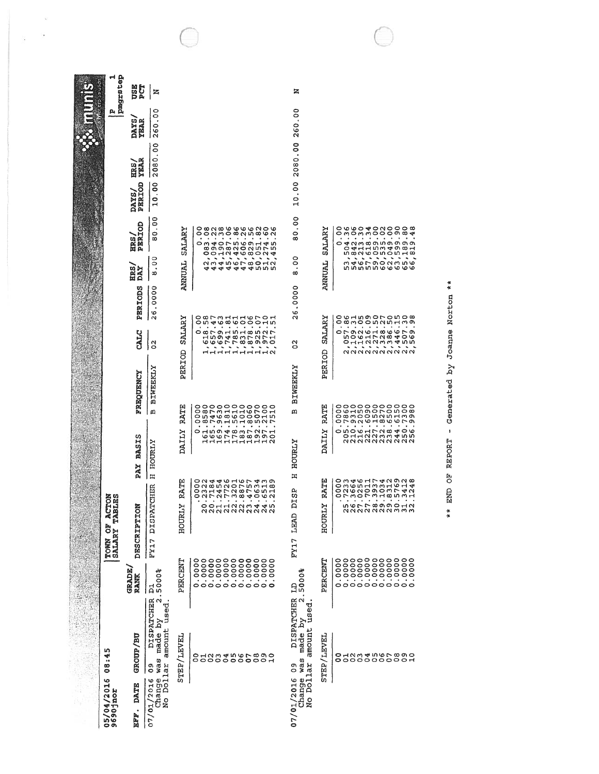| Thei Life and Ham | pmgrstep                                    | <b>DSE</b><br>PCT           | z                                             |                         |                                                                                                                                                                                                                                                                                                                                       |                                          |  |  | z                                          |                  |                                                                                                                                                                                                                                  |
|-------------------|---------------------------------------------|-----------------------------|-----------------------------------------------|-------------------------|---------------------------------------------------------------------------------------------------------------------------------------------------------------------------------------------------------------------------------------------------------------------------------------------------------------------------------------|------------------------------------------|--|--|--------------------------------------------|------------------|----------------------------------------------------------------------------------------------------------------------------------------------------------------------------------------------------------------------------------|
|                   | A                                           | DAYS,<br><b><i>YEAR</i></b> | 0<br>$\circ$<br>$\bullet$<br>260              |                         |                                                                                                                                                                                                                                                                                                                                       |                                          |  |  | 260.00                                     |                  |                                                                                                                                                                                                                                  |
|                   |                                             | <b>YEAR</b><br>HRS,         | S<br>$\cdot$<br>2080                          |                         |                                                                                                                                                                                                                                                                                                                                       |                                          |  |  | 2080.00                                    |                  |                                                                                                                                                                                                                                  |
|                   |                                             | PERIOD<br>DAYS/             | $\frac{0}{2}$<br>$\frac{0}{1}$                |                         |                                                                                                                                                                                                                                                                                                                                       |                                          |  |  | $\frac{8}{1}$<br>$\frac{1}{2}$             |                  |                                                                                                                                                                                                                                  |
|                   |                                             | PERIOD<br>ETR 5             | ွ<br>٠<br>0<br>$\infty$                       | <b>SALARY</b>           | OOCONTRATA CONTRATA CONTRA CONTRA CONTRA CONTRA CONTRA CONTRA CONTRA CONTRA CONTRA CONTRA CONTRA CONTRA CONTRA<br>CONTRA CONTRA CONTRA CONTRA CONTRA<br>CONTRA CONTRA CONTRA CONTRA CONTRA CONTRA<br>CONTRA CONTRA CONTRA CONTRA CON                                                                                                  |                                          |  |  | $\frac{8}{1}$<br>0<br>∞                    | <b>SALARY</b>    | d<br>Dannandoon<br>Dannandoon<br>Dannandoon<br>0                                                                                                                                                                                 |
|                   |                                             | HRS,<br>DAY                 | 0<br>۰<br>٠<br>$\infty$                       | ANNUAL                  |                                                                                                                                                                                                                                                                                                                                       |                                          |  |  | S<br>$\infty$                              | LANNUAL          |                                                                                                                                                                                                                                  |
|                   |                                             | PERIODS                     | 0000.<br>۱ø<br>$\sim$                         |                         | 0<br>0                                                                                                                                                                                                                                                                                                                                |                                          |  |  | .0000<br>$\frac{8}{2}$                     |                  |                                                                                                                                                                                                                                  |
|                   |                                             | CALC                        | $\mathbf{S}$                                  | <b>SALARY</b><br>PERIOD | 0                                                                                                                                                                                                                                                                                                                                     | ANGEL PARTICULAR<br>22 22 23 24 25 26 27 |  |  | ပ္မ                                        | SALARY<br>PERIOD | $\overline{\phantom{a}}$<br>$\hat{\phantom{a}}$<br>$\ddot{\phantom{0}}$<br>×,<br>Ä,<br>aaaaaaaaaa                                                                                                                                |
|                   |                                             | FREQUENCY                   | <b>BIWEEKLY</b>                               |                         |                                                                                                                                                                                                                                                                                                                                       |                                          |  |  | <b>BIWEEKLY</b>                            |                  |                                                                                                                                                                                                                                  |
|                   |                                             |                             | ω                                             | RATE                    | 0<br>0<br>$\circ$<br>0<br>0                                                                                                                                                                                                                                                                                                           |                                          |  |  | m                                          | RATE             |                                                                                                                                                                                                                                  |
|                   |                                             | <b>BASIS</b><br>PAY         | HOURLY<br>Ħ                                   | DAILY                   |                                                                                                                                                                                                                                                                                                                                       |                                          |  |  | <b>HOURLY</b><br>H                         | DAILY            |                                                                                                                                                                                                                                  |
|                   | <b>ACTON</b><br><b>SST</b>                  |                             |                                               | RATE<br>↣               |                                                                                                                                                                                                                                                                                                                                       | ٠<br>oonnaamaan<br>,,,,,,,,,,,,          |  |  | œ<br>Ë                                     | RATE<br>×        | O M 4 W H L 4 N 0 N 0<br>O N W N O 0 O 0 L 4 N<br>O N W N O 0 O 0 L 4 N<br>O L M O L M H W D U L 4 N<br>O L M O L M U D H L 4 N 0 N 0<br>$\bullet$<br>$\;$<br>$\bullet$<br>٠<br>$\bullet$<br>٠<br>٠<br>ngrrgggaana<br>aaaaaaammm |
|                   | <b>FAR</b><br>ð<br><b>TOWN OF</b><br>SALARY | DESCRIPTION                 | FY17 DISPATCHER                               | HOURL                   |                                                                                                                                                                                                                                                                                                                                       |                                          |  |  | FY17 LEAD                                  | HOURL            |                                                                                                                                                                                                                                  |
|                   |                                             | <b>GRADE</b><br><b>RANK</b> | 5000%<br>$\overline{a}$                       | PERCENT                 | ${\begin{array}{c} 0 & 0 & 0 & 0 & 0 & 0 & 0 & 0 & 0 \\ 0 & 0 & 0 & 0 & 0 & 0 & 0 & 0 & 0 \\ 0 & 0 & 0 & 0 & 0 & 0 & 0 & 0 & 0 \\ 0 & 0 & 0 & 0 & 0 & 0 & 0 & 0 & 0 \\ 0 & 0 & 0 & 0 & 0 & 0 & 0 & 0 & 0 \\ 0 & 0 & 0 & 0 & 0 & 0 & 0 & 0 & 0 \\ \end{array}} {\begin{array}{c} 0 & 0 & 0 & 0 & 0 & 0 & 0 \\ 0 & 0 & 0 & 0 & 0 & 0 &$ |                                          |  |  | 5000%<br>$\mathbf{B}$                      | PERCENT          | 000<br>0<br>$\bullet$<br>$\blacksquare$<br>$\sim$ $\sim$<br>$\bullet$<br>$\;$<br>$\;$<br>$\mathcal{A}$<br>$\bullet$                                                                                                              |
|                   |                                             |                             | $\mathbf{\Omega}$<br>DISPATCHER               |                         |                                                                                                                                                                                                                                                                                                                                       |                                          |  |  | $\ddot{\Omega}$<br><b>DISPATCHER</b>       |                  |                                                                                                                                                                                                                                  |
|                   | m<br>ند.<br>په                              | GROUP/BU                    | Change was made by :<br>No Dollar amount used | STEP/LEVEL              | OUNDANGLOOD                                                                                                                                                                                                                                                                                                                           |                                          |  |  | amount used<br>made by<br>was              | STEP/LEVEL       | OUNTANAL 890<br>OUNTANAL 890                                                                                                                                                                                                     |
|                   | $\frac{8}{9}$<br>5/04/2016                  | DATE                        | $\overline{0}$<br>07/01/2016                  |                         |                                                                                                                                                                                                                                                                                                                                       |                                          |  |  | Change way<br>$\overline{0}$<br>07/01/2016 |                  |                                                                                                                                                                                                                                  |
|                   | 05/04/201<br>9690jnor                       | EFF.                        |                                               |                         |                                                                                                                                                                                                                                                                                                                                       |                                          |  |  |                                            |                  |                                                                                                                                                                                                                                  |

C

 $\tilde{\mathbf{x}}$  $\mathcal{L}_{\mathcal{A}}$  $\overline{\mathcal{C}}$ 

\*\* END OF REPORT -. Generated by Joanne Norton \*\*

\*\* END OF REPORT - Generated by Joanne Norton \*\*